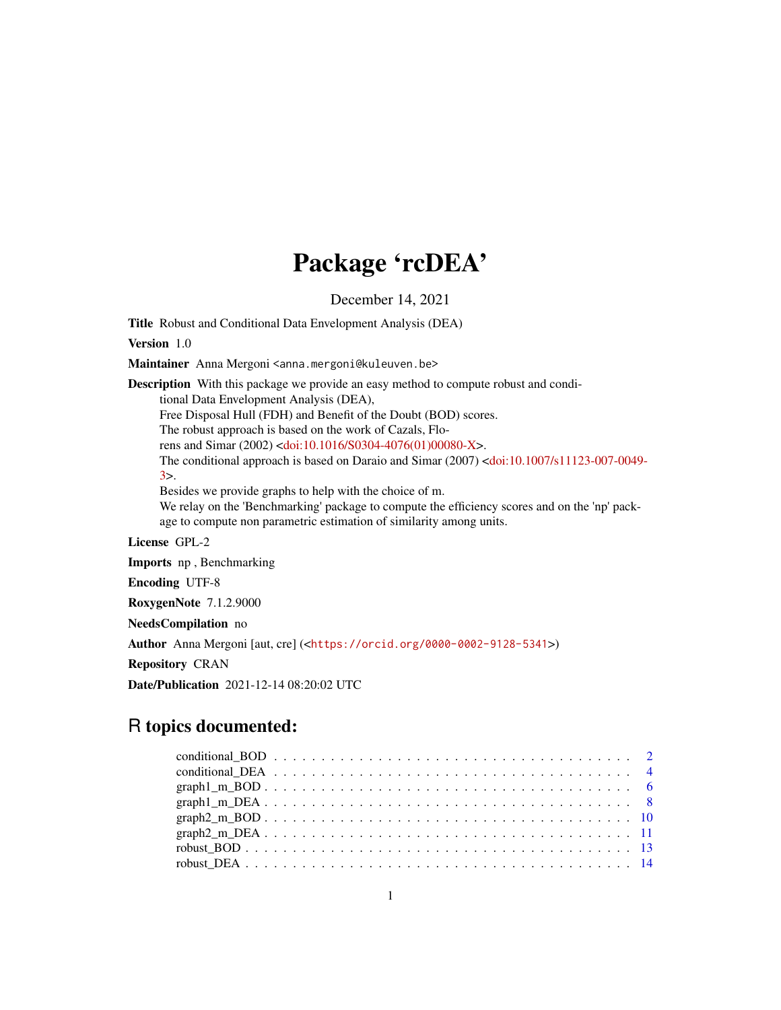# Package 'rcDEA'

December 14, 2021

Title Robust and Conditional Data Envelopment Analysis (DEA)

Version 1.0

Maintainer Anna Mergoni <anna.mergoni@kuleuven.be>

Description With this package we provide an easy method to compute robust and conditional Data Envelopment Analysis (DEA), Free Disposal Hull (FDH) and Benefit of the Doubt (BOD) scores. The robust approach is based on the work of Cazals, Florens and Simar (2002) [<doi:10.1016/S0304-4076\(01\)00080-X>](https://doi.org/10.1016/S0304-4076(01)00080-X). The conditional approach is based on Daraio and Simar (2007) [<doi:10.1007/s11123-007-0049-](https://doi.org/10.1007/s11123-007-0049-3) [3>](https://doi.org/10.1007/s11123-007-0049-3). Besides we provide graphs to help with the choice of m. We relay on the 'Benchmarking' package to compute the efficiency scores and on the 'np' package to compute non parametric estimation of similarity among units. License GPL-2 Imports np , Benchmarking Encoding UTF-8 RoxygenNote 7.1.2.9000 NeedsCompilation no Author Anna Mergoni [aut, cre] (<<https://orcid.org/0000-0002-9128-5341>>)

Repository CRAN

Date/Publication 2021-12-14 08:20:02 UTC

# R topics documented: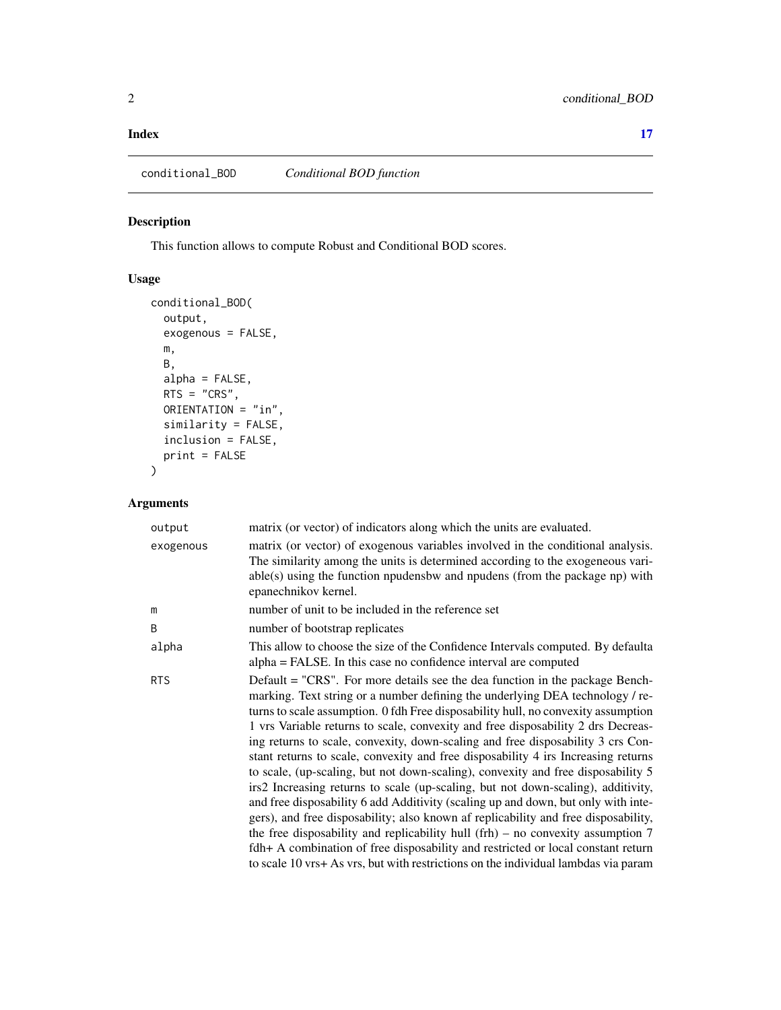#### <span id="page-1-0"></span>**Index** [17](#page-16-0)

# Description

This function allows to compute Robust and Conditional BOD scores.

#### Usage

```
conditional_BOD(
  output,
  exogenous = FALSE,
  m,
  B,
  alpha = FALSE,
  RTS = "CRS",ORIENTATION = "in",
  similarity = FALSE,
  inclusion = FALSE,
  print = FALSE
\mathcal{L}
```

| output     | matrix (or vector) of indicators along which the units are evaluated.                                                                                                                                                                                                                                                                                                                                                                                                                                                                                                                                                                                                                                                                                                                                                                                                                                                                                                                                                                                                                                                            |
|------------|----------------------------------------------------------------------------------------------------------------------------------------------------------------------------------------------------------------------------------------------------------------------------------------------------------------------------------------------------------------------------------------------------------------------------------------------------------------------------------------------------------------------------------------------------------------------------------------------------------------------------------------------------------------------------------------------------------------------------------------------------------------------------------------------------------------------------------------------------------------------------------------------------------------------------------------------------------------------------------------------------------------------------------------------------------------------------------------------------------------------------------|
| exogenous  | matrix (or vector) of exogenous variables involved in the conditional analysis.<br>The similarity among the units is determined according to the exogeneous vari-<br>$able(s)$ using the function npudensbw and npudens (from the package np) with<br>epanechnikov kernel.                                                                                                                                                                                                                                                                                                                                                                                                                                                                                                                                                                                                                                                                                                                                                                                                                                                       |
| m          | number of unit to be included in the reference set                                                                                                                                                                                                                                                                                                                                                                                                                                                                                                                                                                                                                                                                                                                                                                                                                                                                                                                                                                                                                                                                               |
| B          | number of bootstrap replicates                                                                                                                                                                                                                                                                                                                                                                                                                                                                                                                                                                                                                                                                                                                                                                                                                                                                                                                                                                                                                                                                                                   |
| alpha      | This allow to choose the size of the Confidence Intervals computed. By defaulta<br>alpha = FALSE. In this case no confidence interval are computed                                                                                                                                                                                                                                                                                                                                                                                                                                                                                                                                                                                                                                                                                                                                                                                                                                                                                                                                                                               |
| <b>RTS</b> | Default = "CRS". For more details see the dea function in the package Bench-<br>marking. Text string or a number defining the underlying DEA technology / re-<br>turns to scale assumption. 0 fdh Free disposability hull, no convexity assumption<br>1 vrs Variable returns to scale, convexity and free disposability 2 drs Decreas-<br>ing returns to scale, convexity, down-scaling and free disposability 3 crs Con-<br>stant returns to scale, convexity and free disposability 4 irs Increasing returns<br>to scale, (up-scaling, but not down-scaling), convexity and free disposability 5<br>irs2 Increasing returns to scale (up-scaling, but not down-scaling), additivity,<br>and free disposability 6 add Additivity (scaling up and down, but only with inte-<br>gers), and free disposability; also known af replicability and free disposability,<br>the free disposability and replicability hull (frh) – no convexity assumption $7$<br>fdh+ A combination of free disposability and restricted or local constant return<br>to scale 10 yrs+ As yrs, but with restrictions on the individual lambdas via param |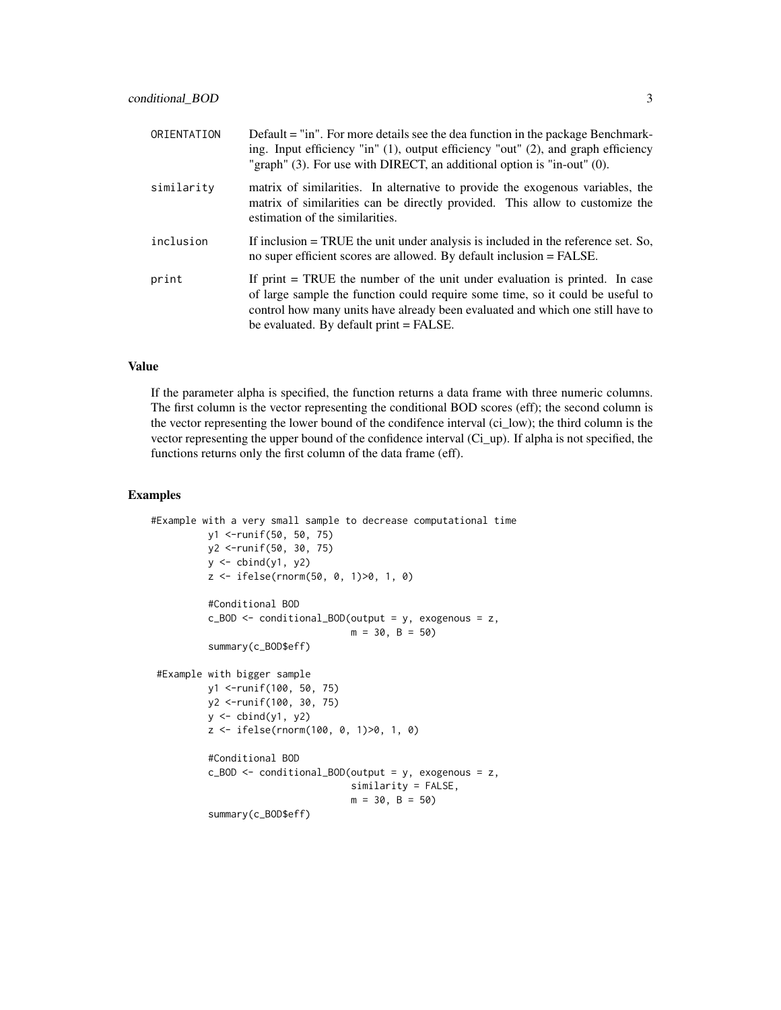| ORIENTATION | Default = "in". For more details see the dea function in the package Benchmark-<br>ing. Input efficiency "in" $(1)$ , output efficiency "out" $(2)$ , and graph efficiency<br>"graph" (3). For use with DIRECT, an additional option is "in-out" (0).                                        |
|-------------|----------------------------------------------------------------------------------------------------------------------------------------------------------------------------------------------------------------------------------------------------------------------------------------------|
| similarity  | matrix of similarities. In alternative to provide the exogenous variables, the<br>matrix of similarities can be directly provided. This allow to customize the<br>estimation of the similarities.                                                                                            |
| inclusion   | If inclusion $=$ TRUE the unit under analysis is included in the reference set. So,<br>no super efficient scores are allowed. By default inclusion = FALSE.                                                                                                                                  |
| print       | If print $=$ TRUE the number of the unit under evaluation is printed. In case<br>of large sample the function could require some time, so it could be useful to<br>control how many units have already been evaluated and which one still have to<br>be evaluated. By default print = FALSE. |

If the parameter alpha is specified, the function returns a data frame with three numeric columns. The first column is the vector representing the conditional BOD scores (eff); the second column is the vector representing the lower bound of the condifence interval (ci\_low); the third column is the vector representing the upper bound of the confidence interval (Ci\_up). If alpha is not specified, the functions returns only the first column of the data frame (eff).

```
#Example with a very small sample to decrease computational time
          y1 <-runif(50, 50, 75)
          y2 <-runif(50, 30, 75)
          y \leftarrow \text{cbind}(y1, y2)z <- ifelse(rnorm(50, 0, 1)>0, 1, 0)
          #Conditional BOD
          c_BOD <- conditional_BOD(output = y, exogenous = z,
                                    m = 30, B = 50summary(c_BOD$eff)
 #Example with bigger sample
          y1 <-runif(100, 50, 75)
          y2 <-runif(100, 30, 75)
          y \leftarrow \text{cbind}(y1, y2)z <- ifelse(rnorm(100, 0, 1)>0, 1, 0)
          #Conditional BOD
          c_BOD <- conditional_BOD(output = y, exogenous = z,
                                    similarity = FALSE,
                                    m = 30, B = 50summary(c_BOD$eff)
```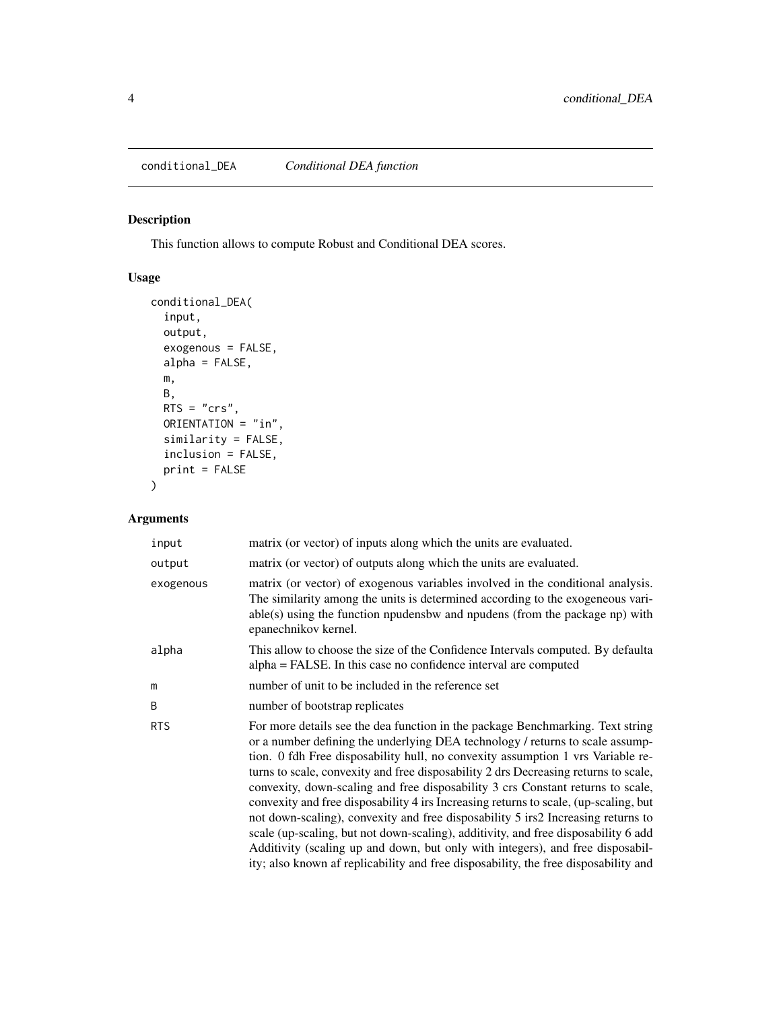#### <span id="page-3-0"></span>Description

This function allows to compute Robust and Conditional DEA scores.

### Usage

```
conditional_DEA(
  input,
 output,
 exogenous = FALSE,
 alpha = FALSE,
 m,
 B,
 RTS = "crs",
 ORIENTATION = "in",
  similarity = FALSE,
  inclusion = FALSE,
 print = FALSE
)
```

| input      | matrix (or vector) of inputs along which the units are evaluated.                                                                                                                                                                                                                                                                                                                                                                                                                                                                                                                                                                                                                                                                                                                                                                                                       |
|------------|-------------------------------------------------------------------------------------------------------------------------------------------------------------------------------------------------------------------------------------------------------------------------------------------------------------------------------------------------------------------------------------------------------------------------------------------------------------------------------------------------------------------------------------------------------------------------------------------------------------------------------------------------------------------------------------------------------------------------------------------------------------------------------------------------------------------------------------------------------------------------|
| output     | matrix (or vector) of outputs along which the units are evaluated.                                                                                                                                                                                                                                                                                                                                                                                                                                                                                                                                                                                                                                                                                                                                                                                                      |
| exogenous  | matrix (or vector) of exogenous variables involved in the conditional analysis.<br>The similarity among the units is determined according to the exogeneous vari-<br>$able(s)$ using the function npudensbw and npudens (from the package np) with<br>epanechnikov kernel.                                                                                                                                                                                                                                                                                                                                                                                                                                                                                                                                                                                              |
| alpha      | This allow to choose the size of the Confidence Intervals computed. By defaulta<br>alpha = FALSE. In this case no confidence interval are computed                                                                                                                                                                                                                                                                                                                                                                                                                                                                                                                                                                                                                                                                                                                      |
| m          | number of unit to be included in the reference set                                                                                                                                                                                                                                                                                                                                                                                                                                                                                                                                                                                                                                                                                                                                                                                                                      |
| B          | number of bootstrap replicates                                                                                                                                                                                                                                                                                                                                                                                                                                                                                                                                                                                                                                                                                                                                                                                                                                          |
| <b>RTS</b> | For more details see the dea function in the package Benchmarking. Text string<br>or a number defining the underlying DEA technology / returns to scale assump-<br>tion. 0 fdh Free disposability hull, no convexity assumption 1 vrs Variable re-<br>turns to scale, convexity and free disposability 2 drs Decreasing returns to scale,<br>convexity, down-scaling and free disposability 3 crs Constant returns to scale,<br>convexity and free disposability 4 irs Increasing returns to scale, (up-scaling, but<br>not down-scaling), convexity and free disposability 5 irs2 Increasing returns to<br>scale (up-scaling, but not down-scaling), additivity, and free disposability 6 add<br>Additivity (scaling up and down, but only with integers), and free disposabil-<br>ity; also known af replicability and free disposability, the free disposability and |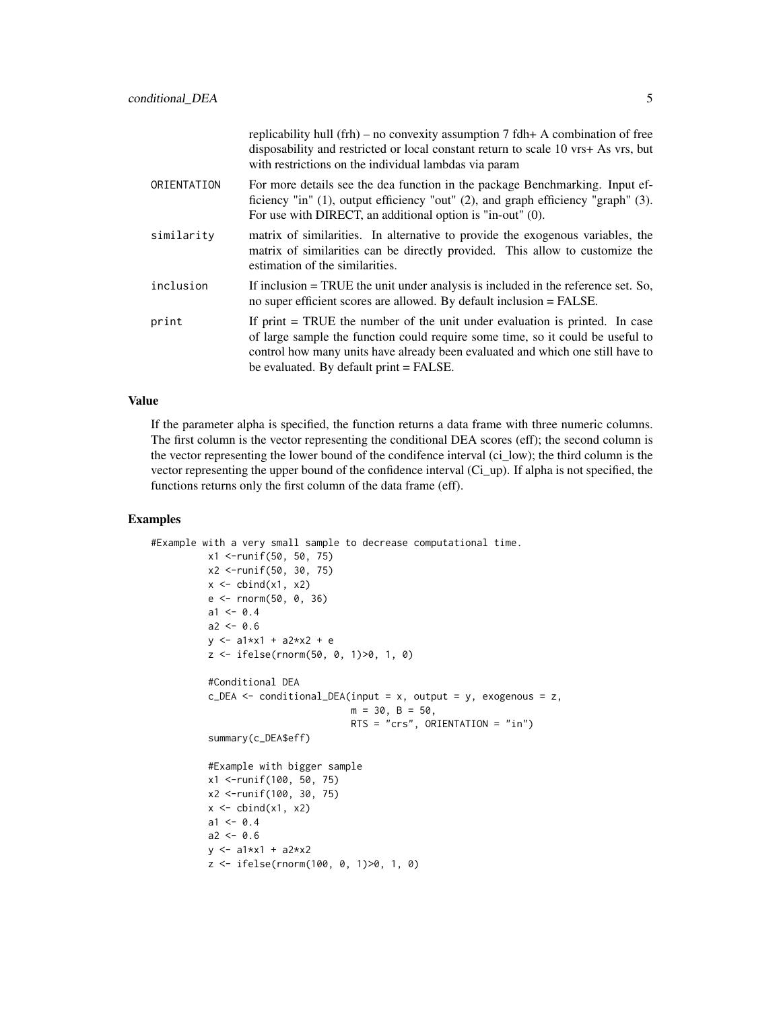|             | replicability hull (frh) – no convexity assumption 7 fdh+ A combination of free<br>disposability and restricted or local constant return to scale 10 vrs+ As vrs, but<br>with restrictions on the individual lambdas via param                                                               |
|-------------|----------------------------------------------------------------------------------------------------------------------------------------------------------------------------------------------------------------------------------------------------------------------------------------------|
| ORIENTATION | For more details see the dea function in the package Benchmarking. Input ef-<br>ficiency "in" (1), output efficiency "out" (2), and graph efficiency "graph" (3).<br>For use with DIRECT, an additional option is "in-out" (0).                                                              |
| similarity  | matrix of similarities. In alternative to provide the exogenous variables, the<br>matrix of similarities can be directly provided. This allow to customize the<br>estimation of the similarities.                                                                                            |
| inclusion   | If inclusion $=$ TRUE the unit under analysis is included in the reference set. So,<br>no super efficient scores are allowed. By default inclusion = FALSE.                                                                                                                                  |
| print       | If print $=$ TRUE the number of the unit under evaluation is printed. In case<br>of large sample the function could require some time, so it could be useful to<br>control how many units have already been evaluated and which one still have to<br>be evaluated. By default print = FALSE. |

If the parameter alpha is specified, the function returns a data frame with three numeric columns. The first column is the vector representing the conditional DEA scores (eff); the second column is the vector representing the lower bound of the condifence interval (ci\_low); the third column is the vector representing the upper bound of the confidence interval (Ci\_up). If alpha is not specified, the functions returns only the first column of the data frame (eff).

```
#Example with a very small sample to decrease computational time.
          x1 <-runif(50, 50, 75)
          x2 <-runif(50, 30, 75)
          x \leftarrow \text{cbind}(x1, x2)e <- rnorm(50, 0, 36)
          a1 < -0.4a2 < -0.6y \le -a1*x1 + a2*x2 + ez <- ifelse(rnorm(50, 0, 1)>0, 1, 0)
          #Conditional DEA
          c_DEA \leq conditional_DEA(input = x, output = y, exogenous = z,
                                    m = 30, B = 50,RTS = "crs", ORIENTATION = "in")
          summary(c_DEA$eff)
          #Example with bigger sample
          x1 <-runif(100, 50, 75)
          x2 <-runif(100, 30, 75)
          x \leftarrow \text{cbind}(x1, x2)a1 < -0.4a2 < -0.6y \le -a1*x1 + a2*x2z <- ifelse(rnorm(100, 0, 1)>0, 1, 0)
```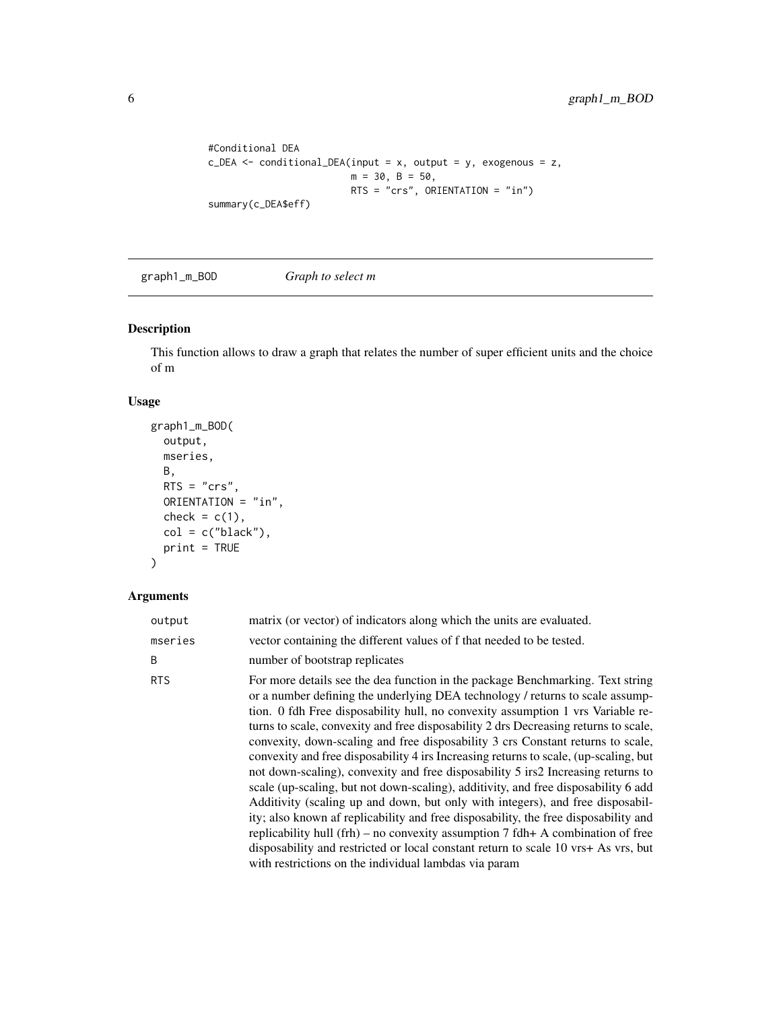```
#Conditional DEA
c_DEA <- conditional_DEA(input = x, output = y, exogenous = z,
                        m = 30, B = 50,RTS = "crs", ORIENTATION = "in")summary(c_DEA$eff)
```
graph1\_m\_BOD *Graph to select m*

#### Description

This function allows to draw a graph that relates the number of super efficient units and the choice of m

#### Usage

```
graph1_m_BOD(
 output,
 mseries,
 B,
 RTS = "crs",ORIENTATION = "in",
 check = c(1),
 col = c("black"),
 print = TRUE
)
```

| output     | matrix (or vector) of indicators along which the units are evaluated.                                                                                                                                                                                                                                                                                                                                                                                                                                                                                                                                                                                                                                                                                                                                                                                                                                                                                                                                                                                                                                       |
|------------|-------------------------------------------------------------------------------------------------------------------------------------------------------------------------------------------------------------------------------------------------------------------------------------------------------------------------------------------------------------------------------------------------------------------------------------------------------------------------------------------------------------------------------------------------------------------------------------------------------------------------------------------------------------------------------------------------------------------------------------------------------------------------------------------------------------------------------------------------------------------------------------------------------------------------------------------------------------------------------------------------------------------------------------------------------------------------------------------------------------|
| mseries    | vector containing the different values of f that needed to be tested.                                                                                                                                                                                                                                                                                                                                                                                                                                                                                                                                                                                                                                                                                                                                                                                                                                                                                                                                                                                                                                       |
| B          | number of bootstrap replicates                                                                                                                                                                                                                                                                                                                                                                                                                                                                                                                                                                                                                                                                                                                                                                                                                                                                                                                                                                                                                                                                              |
| <b>RTS</b> | For more details see the dea function in the package Benchmarking. Text string<br>or a number defining the underlying DEA technology / returns to scale assump-<br>tion. 0 fdh Free disposability hull, no convexity assumption 1 vrs Variable re-<br>turns to scale, convexity and free disposability 2 drs Decreasing returns to scale,<br>convexity, down-scaling and free disposability 3 crs Constant returns to scale,<br>convexity and free disposability 4 irs Increasing returns to scale, (up-scaling, but<br>not down-scaling), convexity and free disposability 5 irs2 Increasing returns to<br>scale (up-scaling, but not down-scaling), additivity, and free disposability 6 add<br>Additivity (scaling up and down, but only with integers), and free disposabil-<br>ity; also known af replicability and free disposability, the free disposability and<br>replicability hull (frh) – no convexity assumption $7$ fdh+ A combination of free<br>disposability and restricted or local constant return to scale 10 vrs+ As vrs, but<br>with restrictions on the individual lambdas via param |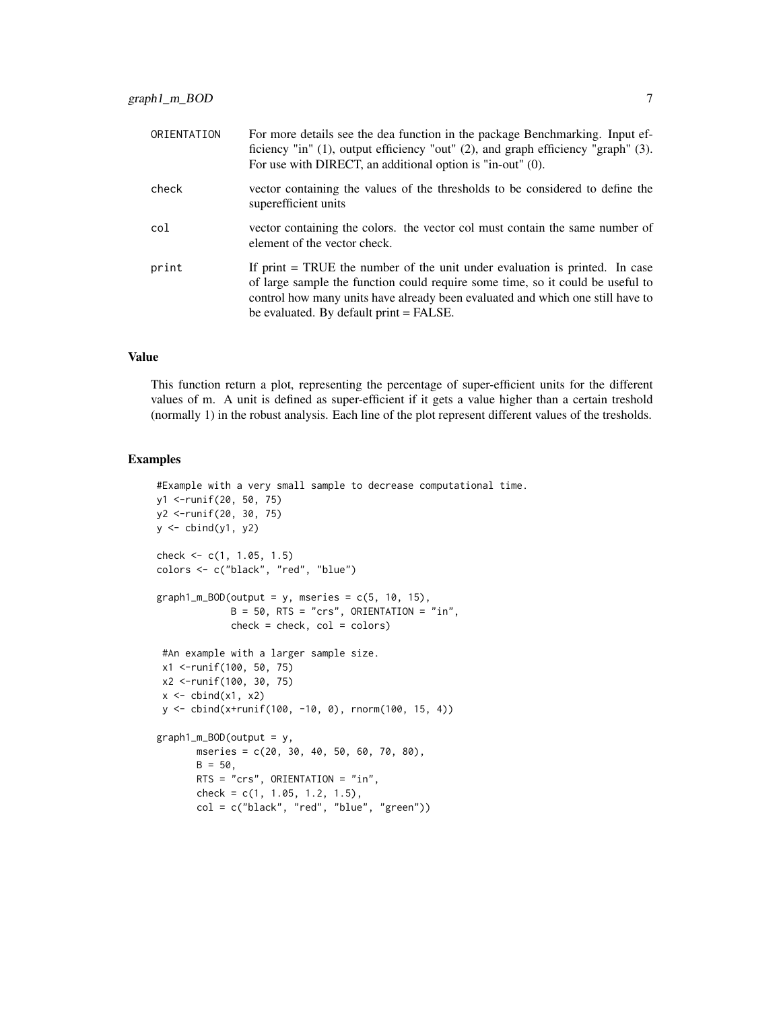| ORIENTATION | For more details see the dea function in the package Benchmarking. Input ef-<br>ficiency "in" $(1)$ , output efficiency "out" $(2)$ , and graph efficiency "graph" $(3)$ .<br>For use with DIRECT, an additional option is "in-out" (0).                                                     |
|-------------|----------------------------------------------------------------------------------------------------------------------------------------------------------------------------------------------------------------------------------------------------------------------------------------------|
| check       | vector containing the values of the thresholds to be considered to define the<br>superefficient units                                                                                                                                                                                        |
| col         | vector containing the colors. the vector col must contain the same number of<br>element of the vector check.                                                                                                                                                                                 |
| print       | If print $=$ TRUE the number of the unit under evaluation is printed. In case<br>of large sample the function could require some time, so it could be useful to<br>control how many units have already been evaluated and which one still have to<br>be evaluated. By default print = FALSE. |

This function return a plot, representing the percentage of super-efficient units for the different values of m. A unit is defined as super-efficient if it gets a value higher than a certain treshold (normally 1) in the robust analysis. Each line of the plot represent different values of the tresholds.

```
#Example with a very small sample to decrease computational time.
y1 <-runif(20, 50, 75)
y2 <-runif(20, 30, 75)
y \leftarrow \text{cbind}(y1, y2)check <- c(1, 1.05, 1.5)
colors <- c("black", "red", "blue")
graph1_m_BOD(output = y, mseries = c(5, 10, 15),
             B = 50, RTS = "crs", ORIENTATION = "in",
             check = check, col = colors)#An example with a larger sample size.
 x1 <-runif(100, 50, 75)
 x2 <-runif(100, 30, 75)
 x \leftarrow \text{cbind}(x1, x2)y <- cbind(x+runif(100, -10, 0), rnorm(100, 15, 4))
graph1_m_BOD(output = y,
       mseries = c(20, 30, 40, 50, 60, 70, 80),
       B = 50,RTS = "crs", ORIENTATION = "in",
       check = c(1, 1.05, 1.2, 1.5),
       col = c("black", "red", "blue", "green"))
```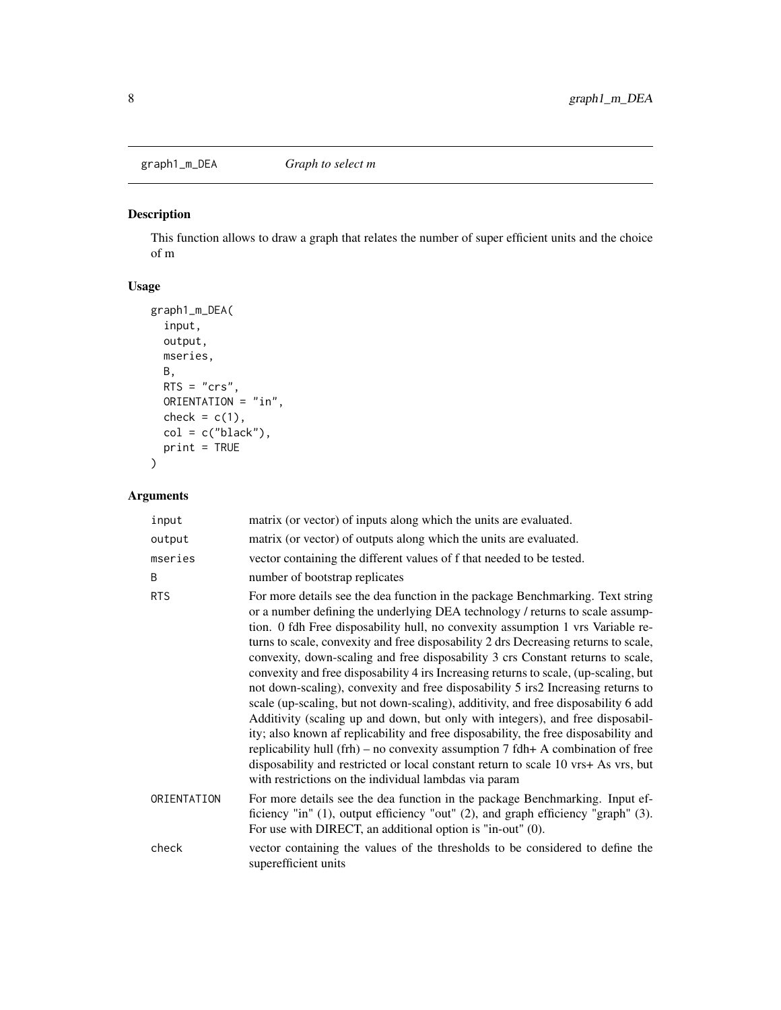<span id="page-7-0"></span>

#### Description

This function allows to draw a graph that relates the number of super efficient units and the choice of m

#### Usage

```
graph1_m_DEA(
  input,
 output,
 mseries,
 B,
 RTS = "crs",
 ORIENTATION = "in",
 check = c(1),
 col = c("black"),
 print = TRUE
)
```

| input       | matrix (or vector) of inputs along which the units are evaluated.                                                                                                                                                                                                                                                                                                                                                                                                                                                                                                                                                                                                                                                                                                                                                                                                                                                                                                                                                                                                                                           |
|-------------|-------------------------------------------------------------------------------------------------------------------------------------------------------------------------------------------------------------------------------------------------------------------------------------------------------------------------------------------------------------------------------------------------------------------------------------------------------------------------------------------------------------------------------------------------------------------------------------------------------------------------------------------------------------------------------------------------------------------------------------------------------------------------------------------------------------------------------------------------------------------------------------------------------------------------------------------------------------------------------------------------------------------------------------------------------------------------------------------------------------|
| output      | matrix (or vector) of outputs along which the units are evaluated.                                                                                                                                                                                                                                                                                                                                                                                                                                                                                                                                                                                                                                                                                                                                                                                                                                                                                                                                                                                                                                          |
| mseries     | vector containing the different values of f that needed to be tested.                                                                                                                                                                                                                                                                                                                                                                                                                                                                                                                                                                                                                                                                                                                                                                                                                                                                                                                                                                                                                                       |
| B           | number of bootstrap replicates                                                                                                                                                                                                                                                                                                                                                                                                                                                                                                                                                                                                                                                                                                                                                                                                                                                                                                                                                                                                                                                                              |
| <b>RTS</b>  | For more details see the dea function in the package Benchmarking. Text string<br>or a number defining the underlying DEA technology / returns to scale assump-<br>tion. 0 fdh Free disposability hull, no convexity assumption 1 vrs Variable re-<br>turns to scale, convexity and free disposability 2 drs Decreasing returns to scale,<br>convexity, down-scaling and free disposability 3 crs Constant returns to scale,<br>convexity and free disposability 4 irs Increasing returns to scale, (up-scaling, but<br>not down-scaling), convexity and free disposability 5 irs2 Increasing returns to<br>scale (up-scaling, but not down-scaling), additivity, and free disposability 6 add<br>Additivity (scaling up and down, but only with integers), and free disposabil-<br>ity; also known af replicability and free disposability, the free disposability and<br>replicability hull (frh) – no convexity assumption $7$ fdh+ A combination of free<br>disposability and restricted or local constant return to scale 10 vrs+ As vrs, but<br>with restrictions on the individual lambdas via param |
| ORIENTATION | For more details see the dea function in the package Benchmarking. Input ef-<br>ficiency "in" (1), output efficiency "out" (2), and graph efficiency "graph" (3).<br>For use with DIRECT, an additional option is "in-out" (0).                                                                                                                                                                                                                                                                                                                                                                                                                                                                                                                                                                                                                                                                                                                                                                                                                                                                             |
| check       | vector containing the values of the thresholds to be considered to define the<br>superefficient units                                                                                                                                                                                                                                                                                                                                                                                                                                                                                                                                                                                                                                                                                                                                                                                                                                                                                                                                                                                                       |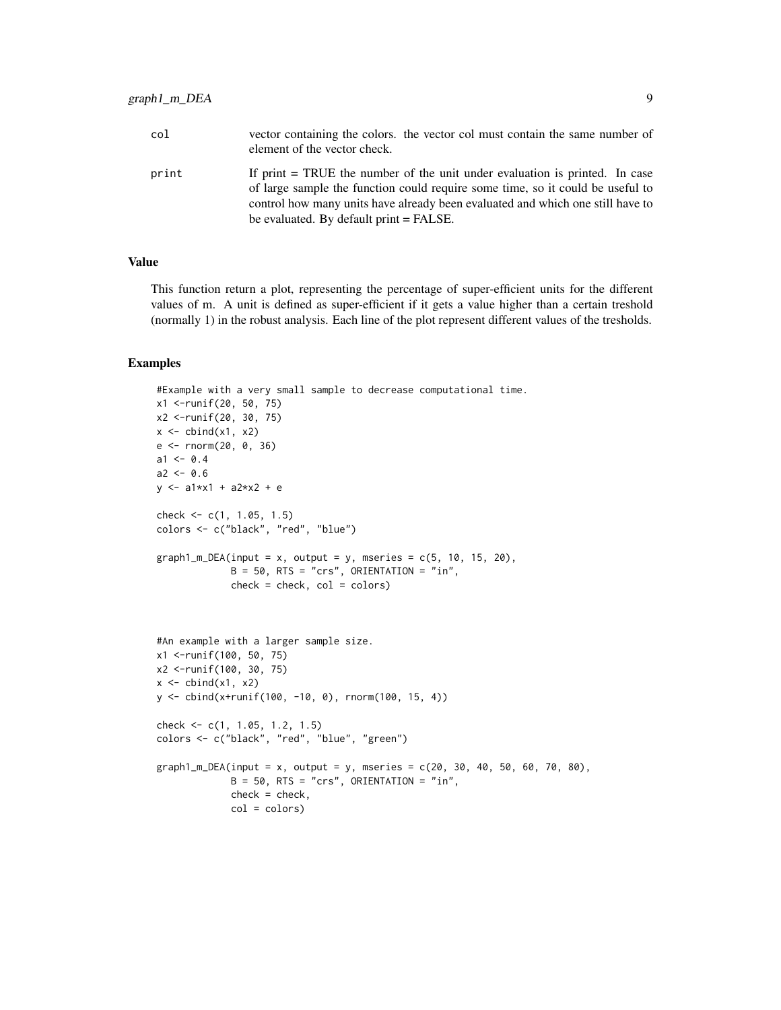| col   | vector containing the colors. the vector col must contain the same number of<br>element of the vector check.                                                                                                                                    |
|-------|-------------------------------------------------------------------------------------------------------------------------------------------------------------------------------------------------------------------------------------------------|
| print | If print = TRUE the number of the unit under evaluation is printed. In case<br>of large sample the function could require some time, so it could be useful to<br>control how many units have already been evaluated and which one still have to |
|       | be evaluated. By default print = FALSE.                                                                                                                                                                                                         |

This function return a plot, representing the percentage of super-efficient units for the different values of m. A unit is defined as super-efficient if it gets a value higher than a certain treshold (normally 1) in the robust analysis. Each line of the plot represent different values of the tresholds.

```
#Example with a very small sample to decrease computational time.
x1 <-runif(20, 50, 75)
x2 <-runif(20, 30, 75)
x \leftarrow \text{cbind}(x1, x2)e <- rnorm(20, 0, 36)
a1 < -0.4a2 < -0.6y \le -a1*x1 + a2*x2 + echeck <- c(1, 1.05, 1.5)
colors <- c("black", "red", "blue")
graph1_m_DEA(input = x, output = y, mseries = c(5, 10, 15, 20),B = 50, RTS = "crs", ORIENTATION = "in",
             check = check, col = colors)#An example with a larger sample size.
x1 <-runif(100, 50, 75)
x2 <-runif(100, 30, 75)
x \leftarrow \text{cbind}(x1, x2)y <- cbind(x+runif(100, -10, 0), rnorm(100, 15, 4))
check <- c(1, 1.05, 1.2, 1.5)
colors <- c("black", "red", "blue", "green")
graph1_m_DEA(input = x, output = y, mseries = c(20, 30, 40, 50, 60, 70, 80),B = 50, RTS = "crs", ORIENTATION = "in",
             check = check,
             col = colors)
```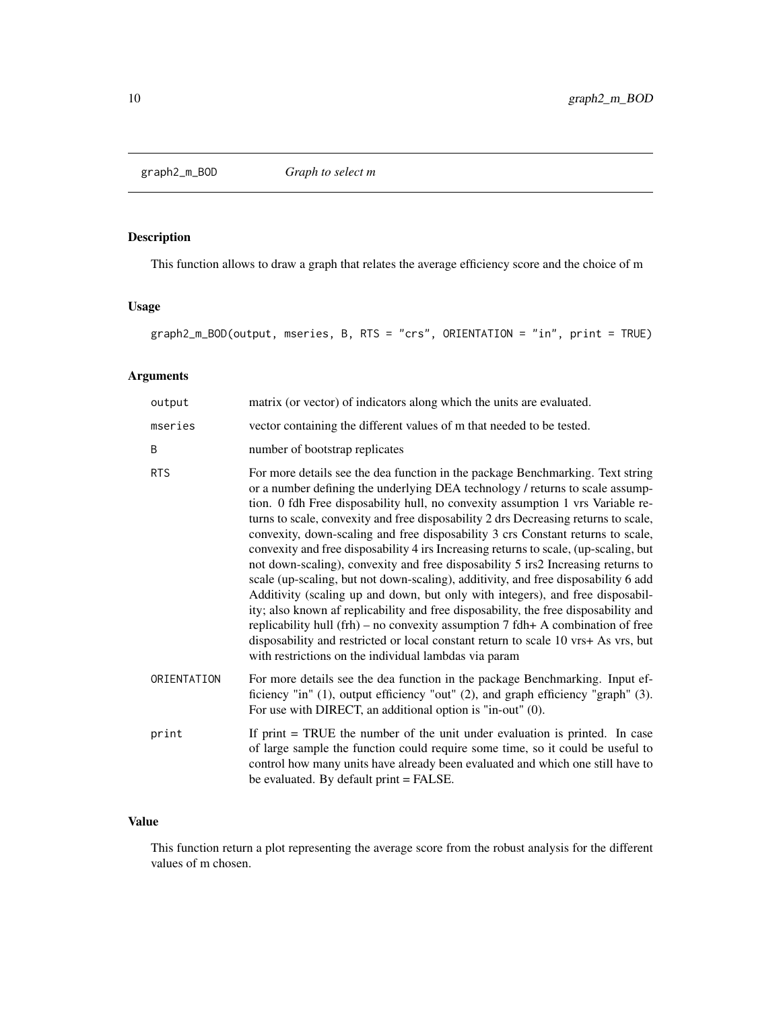<span id="page-9-0"></span>

#### Description

This function allows to draw a graph that relates the average efficiency score and the choice of m

#### Usage

graph2\_m\_BOD(output, mseries, B, RTS = "crs", ORIENTATION = "in", print = TRUE)

# Arguments

| output      | matrix (or vector) of indicators along which the units are evaluated.                                                                                                                                                                                                                                                                                                                                                                                                                                                                                                                                                                                                                                                                                                                                                                                                                                                                                                                                                                                                                                       |
|-------------|-------------------------------------------------------------------------------------------------------------------------------------------------------------------------------------------------------------------------------------------------------------------------------------------------------------------------------------------------------------------------------------------------------------------------------------------------------------------------------------------------------------------------------------------------------------------------------------------------------------------------------------------------------------------------------------------------------------------------------------------------------------------------------------------------------------------------------------------------------------------------------------------------------------------------------------------------------------------------------------------------------------------------------------------------------------------------------------------------------------|
| mseries     | vector containing the different values of m that needed to be tested.                                                                                                                                                                                                                                                                                                                                                                                                                                                                                                                                                                                                                                                                                                                                                                                                                                                                                                                                                                                                                                       |
| B           | number of bootstrap replicates                                                                                                                                                                                                                                                                                                                                                                                                                                                                                                                                                                                                                                                                                                                                                                                                                                                                                                                                                                                                                                                                              |
| <b>RTS</b>  | For more details see the dea function in the package Benchmarking. Text string<br>or a number defining the underlying DEA technology / returns to scale assump-<br>tion. 0 fdh Free disposability hull, no convexity assumption 1 vrs Variable re-<br>turns to scale, convexity and free disposability 2 drs Decreasing returns to scale,<br>convexity, down-scaling and free disposability 3 crs Constant returns to scale,<br>convexity and free disposability 4 irs Increasing returns to scale, (up-scaling, but<br>not down-scaling), convexity and free disposability 5 irs2 Increasing returns to<br>scale (up-scaling, but not down-scaling), additivity, and free disposability 6 add<br>Additivity (scaling up and down, but only with integers), and free disposabil-<br>ity; also known af replicability and free disposability, the free disposability and<br>replicability hull (frh) – no convexity assumption $7$ fdh+ A combination of free<br>disposability and restricted or local constant return to scale 10 vrs+ As vrs, but<br>with restrictions on the individual lambdas via param |
| ORIENTATION | For more details see the dea function in the package Benchmarking. Input ef-<br>ficiency "in" (1), output efficiency "out" (2), and graph efficiency "graph" (3).<br>For use with DIRECT, an additional option is "in-out" (0).                                                                                                                                                                                                                                                                                                                                                                                                                                                                                                                                                                                                                                                                                                                                                                                                                                                                             |
| print       | If $print = TRUE$ the number of the unit under evaluation is printed. In case<br>of large sample the function could require some time, so it could be useful to<br>control how many units have already been evaluated and which one still have to<br>be evaluated. By default print = FALSE.                                                                                                                                                                                                                                                                                                                                                                                                                                                                                                                                                                                                                                                                                                                                                                                                                |

## Value

This function return a plot representing the average score from the robust analysis for the different values of m chosen.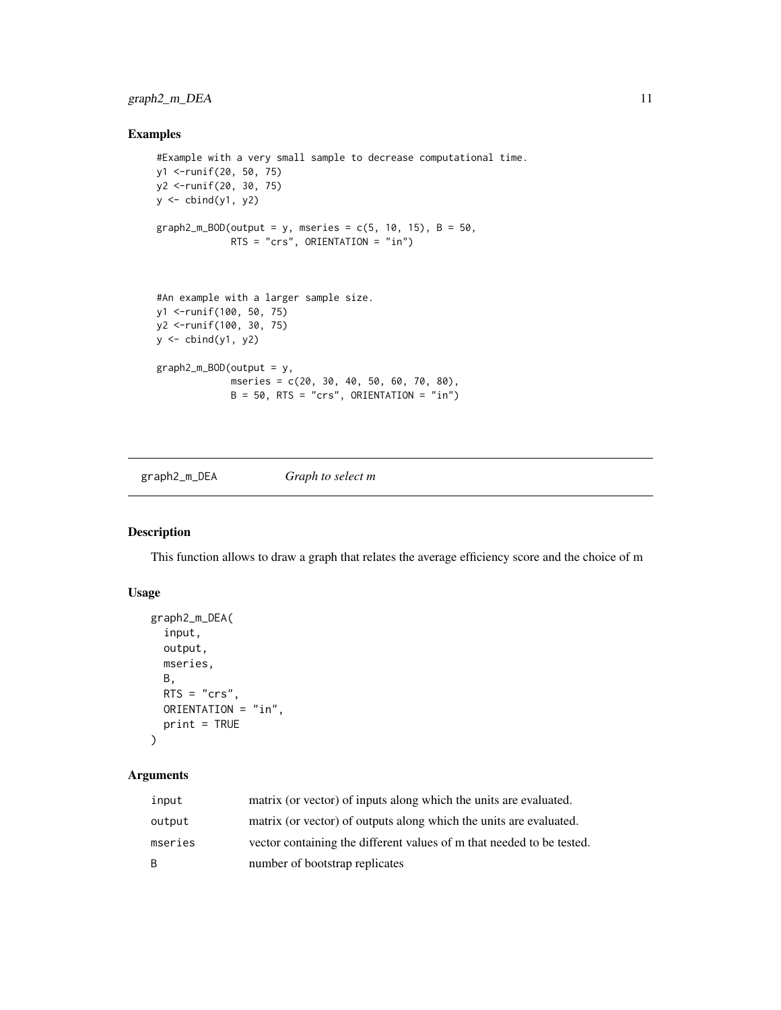#### <span id="page-10-0"></span>graph2\_m\_DEA 11

#### Examples

```
#Example with a very small sample to decrease computational time.
y1 <-runif(20, 50, 75)
y2 <-runif(20, 30, 75)
y <- cbind(y1, y2)
graph2_m_BOD(output = y, mseries = c(5, 10, 15), B = 50,
             RTS = "crs", ORIENTATION = "in")
#An example with a larger sample size.
y1 <-runif(100, 50, 75)
y2 <-runif(100, 30, 75)
y \leftarrow \text{cbind}(y1, y2)graph2_m_BOD(output = y,
             mseries = c(20, 30, 40, 50, 60, 70, 80),
             B = 50, RTS = "crs", ORIENTATION = "in")
```
graph2\_m\_DEA *Graph to select m*

#### Description

This function allows to draw a graph that relates the average efficiency score and the choice of m

#### Usage

```
graph2_m_DEA(
  input,
 output,
 mseries,
 B,
 RTS = "crs",ORIENTATION = "in",
 print = TRUE
\lambda
```

| input   | matrix (or vector) of inputs along which the units are evaluated.     |
|---------|-----------------------------------------------------------------------|
| output  | matrix (or vector) of outputs along which the units are evaluated.    |
| mseries | vector containing the different values of m that needed to be tested. |
| B.      | number of bootstrap replicates                                        |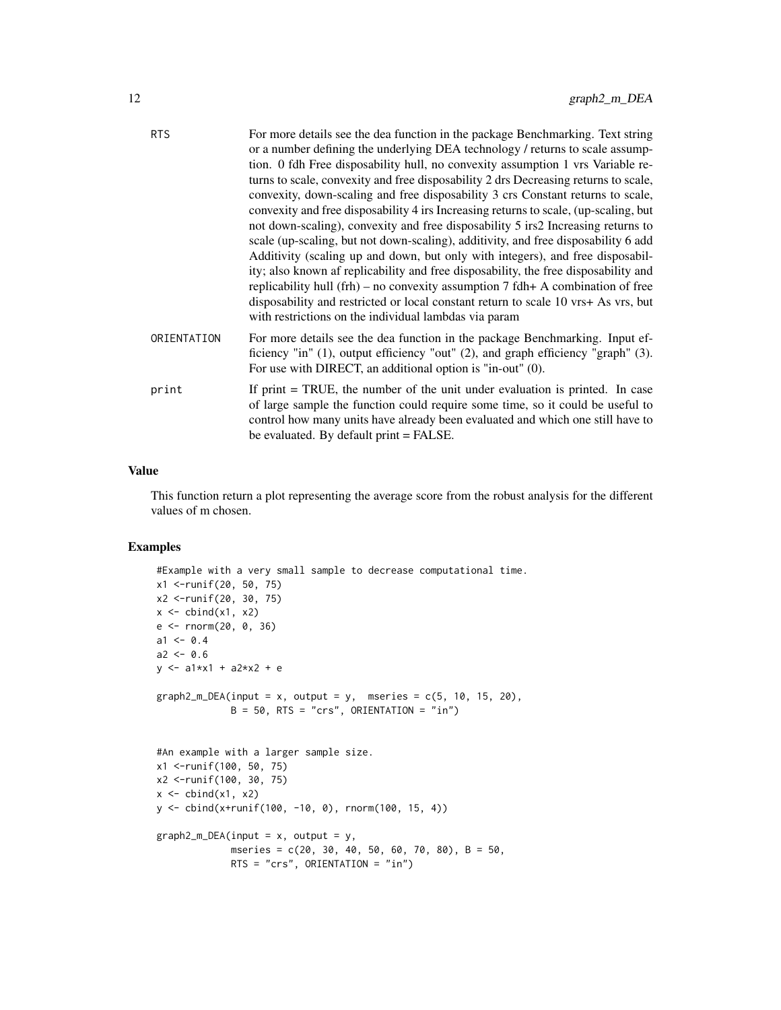| <b>RTS</b>  | For more details see the dea function in the package Benchmarking. Text string                                                                                                                                                  |
|-------------|---------------------------------------------------------------------------------------------------------------------------------------------------------------------------------------------------------------------------------|
|             | or a number defining the underlying DEA technology / returns to scale assump-                                                                                                                                                   |
|             | tion. 0 fdh Free disposability hull, no convexity assumption 1 vrs Variable re-                                                                                                                                                 |
|             | turns to scale, convexity and free disposability 2 drs Decreasing returns to scale,                                                                                                                                             |
|             | convexity, down-scaling and free disposability 3 crs Constant returns to scale,                                                                                                                                                 |
|             | convexity and free disposability 4 irs Increasing returns to scale, (up-scaling, but                                                                                                                                            |
|             | not down-scaling), convexity and free disposability 5 irs2 Increasing returns to                                                                                                                                                |
|             | scale (up-scaling, but not down-scaling), additivity, and free disposability 6 add                                                                                                                                              |
|             | Additivity (scaling up and down, but only with integers), and free disposabil-                                                                                                                                                  |
|             | ity; also known af replicability and free disposability, the free disposability and                                                                                                                                             |
|             | replicability hull (frh) – no convexity assumption $7$ fdh+ A combination of free                                                                                                                                               |
|             | disposability and restricted or local constant return to scale 10 vrs+ As vrs, but                                                                                                                                              |
|             | with restrictions on the individual lambdas via param                                                                                                                                                                           |
| ORIENTATION | For more details see the dea function in the package Benchmarking. Input ef-<br>ficiency "in" (1), output efficiency "out" (2), and graph efficiency "graph" (3).<br>For use with DIRECT, an additional option is "in-out" (0). |
| print       | If print $=$ TRUE, the number of the unit under evaluation is printed. In case                                                                                                                                                  |
|             | of large sample the function could require some time, so it could be useful to                                                                                                                                                  |
|             | control how many units have already been evaluated and which one still have to                                                                                                                                                  |
|             | be evaluated. By default print = FALSE.                                                                                                                                                                                         |
|             |                                                                                                                                                                                                                                 |

This function return a plot representing the average score from the robust analysis for the different values of m chosen.

```
#Example with a very small sample to decrease computational time.
x1 <-runif(20, 50, 75)
x2 <-runif(20, 30, 75)
x \leftarrow \text{cbind}(x1, x2)e <- rnorm(20, 0, 36)
a1 < -0.4a2 < -0.6y <- a1*x1 + a2*x2 + e
graph2_m_DEA(input = x, output = y, mseries = c(5, 10, 15, 20),
             B = 50, RTS = "crs", ORIENTATION = "in")
#An example with a larger sample size.
x1 <-runif(100, 50, 75)
x2 <-runif(100, 30, 75)
x \leftarrow \text{cbind}(x1, x2)y <- cbind(x+runif(100, -10, 0), rnorm(100, 15, 4))
graph2_m_DEA(input = x, output = y,mseries = c(20, 30, 40, 50, 60, 70, 80), B = 50,
             RTS = "crs", ORIENTATION = "in")
```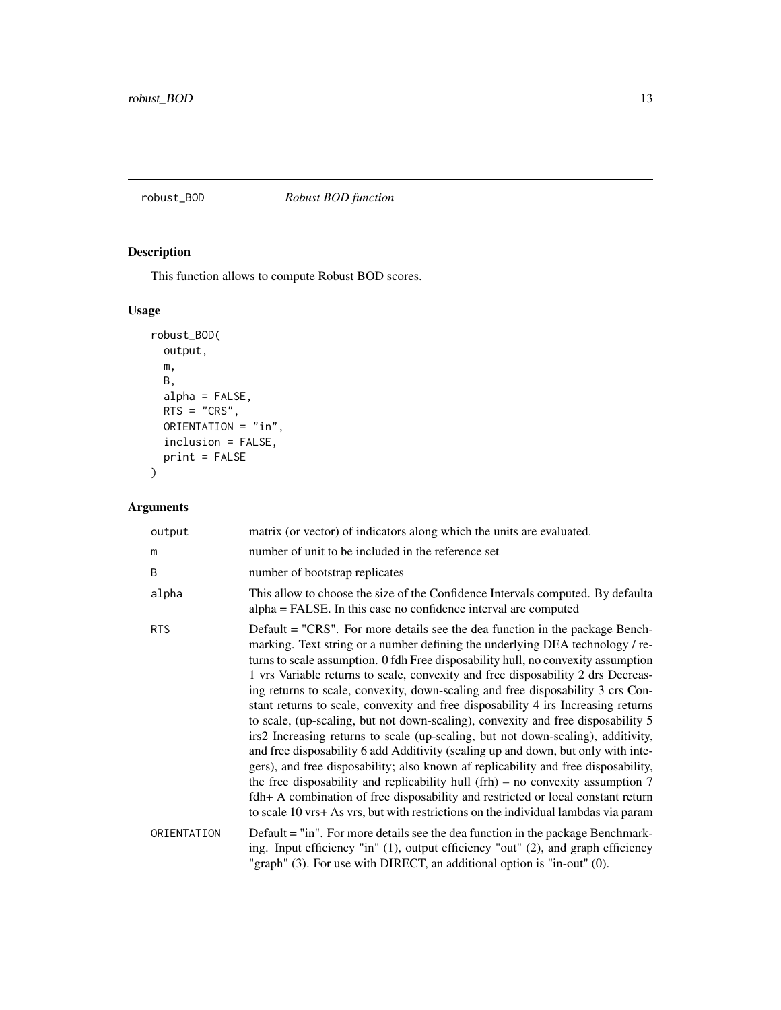# <span id="page-12-0"></span>robust\_BOD *Robust BOD function*

# Description

This function allows to compute Robust BOD scores.

# Usage

```
robust_BOD(
 output,
 m,
 B,
 alpha = FALSE,
 RTS = "CRS",ORIENTATION = "in",
 inclusion = FALSE,
 print = FALSE
)
```

| output      | matrix (or vector) of indicators along which the units are evaluated.                                                                                                                                                                                                                                                                                                                                                                                                                                                                                                                                                                                                                                                                                                                                                                                                                                                                                                                                                                                                                                                            |
|-------------|----------------------------------------------------------------------------------------------------------------------------------------------------------------------------------------------------------------------------------------------------------------------------------------------------------------------------------------------------------------------------------------------------------------------------------------------------------------------------------------------------------------------------------------------------------------------------------------------------------------------------------------------------------------------------------------------------------------------------------------------------------------------------------------------------------------------------------------------------------------------------------------------------------------------------------------------------------------------------------------------------------------------------------------------------------------------------------------------------------------------------------|
| m           | number of unit to be included in the reference set                                                                                                                                                                                                                                                                                                                                                                                                                                                                                                                                                                                                                                                                                                                                                                                                                                                                                                                                                                                                                                                                               |
| B           | number of bootstrap replicates                                                                                                                                                                                                                                                                                                                                                                                                                                                                                                                                                                                                                                                                                                                                                                                                                                                                                                                                                                                                                                                                                                   |
| alpha       | This allow to choose the size of the Confidence Intervals computed. By defaulta<br>alpha = FALSE. In this case no confidence interval are computed                                                                                                                                                                                                                                                                                                                                                                                                                                                                                                                                                                                                                                                                                                                                                                                                                                                                                                                                                                               |
| <b>RTS</b>  | Default = "CRS". For more details see the dea function in the package Bench-<br>marking. Text string or a number defining the underlying DEA technology / re-<br>turns to scale assumption. 0 fdh Free disposability hull, no convexity assumption<br>1 vrs Variable returns to scale, convexity and free disposability 2 drs Decreas-<br>ing returns to scale, convexity, down-scaling and free disposability 3 crs Con-<br>stant returns to scale, convexity and free disposability 4 irs Increasing returns<br>to scale, (up-scaling, but not down-scaling), convexity and free disposability 5<br>irs2 Increasing returns to scale (up-scaling, but not down-scaling), additivity,<br>and free disposability 6 add Additivity (scaling up and down, but only with inte-<br>gers), and free disposability; also known af replicability and free disposability,<br>the free disposability and replicability hull $(frh)$ – no convexity assumption 7<br>fdh+ A combination of free disposability and restricted or local constant return<br>to scale 10 vrs+ As vrs, but with restrictions on the individual lambdas via param |
| ORIENTATION | Default = "in". For more details see the dea function in the package Benchmark-<br>ing. Input efficiency "in" (1), output efficiency "out" (2), and graph efficiency<br>"graph" $(3)$ . For use with DIRECT, an additional option is "in-out" $(0)$ .                                                                                                                                                                                                                                                                                                                                                                                                                                                                                                                                                                                                                                                                                                                                                                                                                                                                            |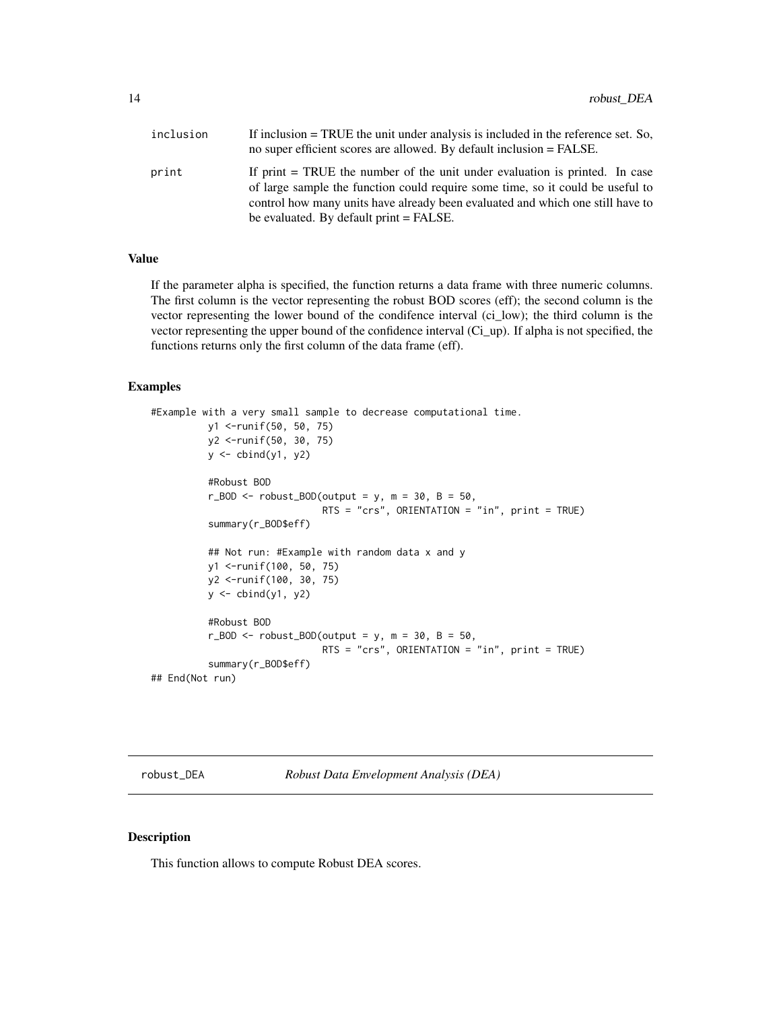<span id="page-13-0"></span>

| inclusion | If inclusion $=$ TRUE the unit under analysis is included in the reference set. So,<br>no super efficient scores are allowed. By default inclusion = FALSE.                                                                                       |
|-----------|---------------------------------------------------------------------------------------------------------------------------------------------------------------------------------------------------------------------------------------------------|
| print     | If print $=$ TRUE the number of the unit under evaluation is printed. In case<br>of large sample the function could require some time, so it could be useful to<br>control how many units have already been evaluated and which one still have to |
|           | be evaluated. By default print = FALSE.                                                                                                                                                                                                           |

If the parameter alpha is specified, the function returns a data frame with three numeric columns. The first column is the vector representing the robust BOD scores (eff); the second column is the vector representing the lower bound of the condifence interval (ci\_low); the third column is the vector representing the upper bound of the confidence interval (Ci\_up). If alpha is not specified, the functions returns only the first column of the data frame (eff).

#### Examples

```
#Example with a very small sample to decrease computational time.
          y1 <-runif(50, 50, 75)
          y2 <-runif(50, 30, 75)
          y <- cbind(y1, y2)
          #Robust BOD
          r_BOD \le r robust_BOD(output = y, m = 30, B = 50,
                               RTS = "crs", ORIENTATION = "in", print = TRUE)summary(r_BOD$eff)
          ## Not run: #Example with random data x and y
          y1 <-runif(100, 50, 75)
          y2 <-runif(100, 30, 75)
          y \leftarrow \text{cbind}(y1, y2)#Robust BOD
          r_BOD \le r robust_BOD(output = y, m = 30, B = 50,
                               RTS = "crs", ORIENTATION = "in", print = TRUE)summary(r_BOD$eff)
## End(Not run)
```
robust\_DEA *Robust Data Envelopment Analysis (DEA)*

#### Description

This function allows to compute Robust DEA scores.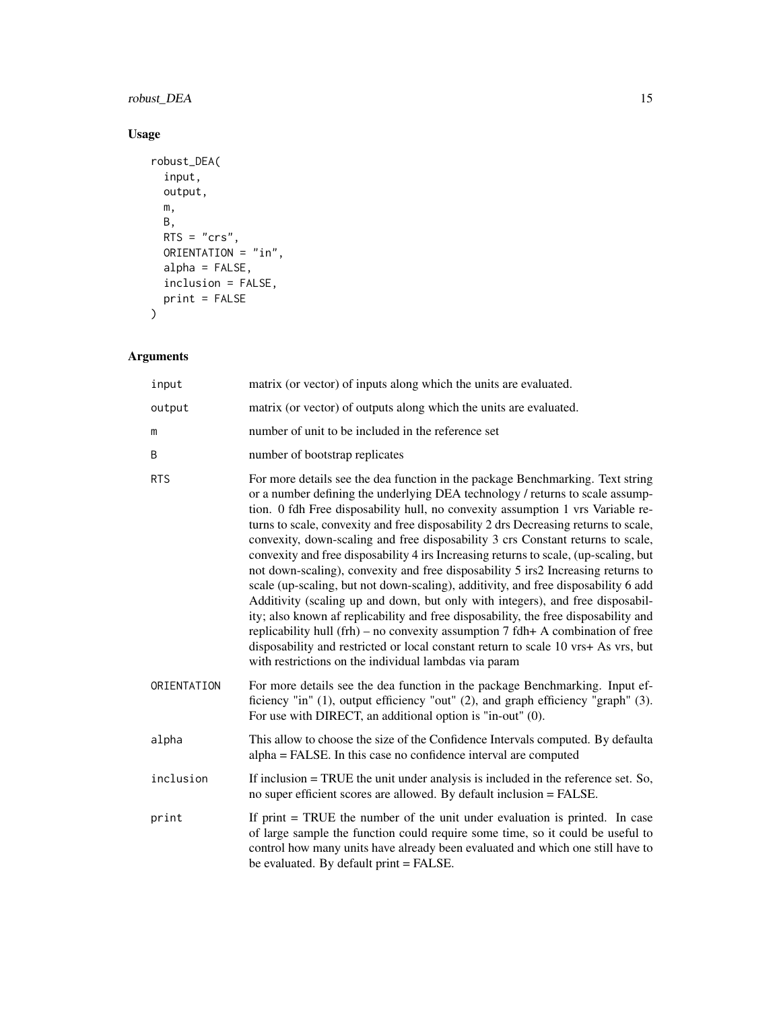# robust\_DEA 15

# Usage

```
robust_DEA(
  input,
  output,
  m,
  B,
  RTS = "crs",ORIENTATION = "in",
  alpha = FALSE,inclusion = FALSE,
  print = FALSE
\mathcal{L}
```

| input       | matrix (or vector) of inputs along which the units are evaluated.                                                                                                                                                                                                                                                                                                                                                                                                                                                                                                                                                                                                                                                                                                                                                                                                                                                                                                                                                                                                                                           |
|-------------|-------------------------------------------------------------------------------------------------------------------------------------------------------------------------------------------------------------------------------------------------------------------------------------------------------------------------------------------------------------------------------------------------------------------------------------------------------------------------------------------------------------------------------------------------------------------------------------------------------------------------------------------------------------------------------------------------------------------------------------------------------------------------------------------------------------------------------------------------------------------------------------------------------------------------------------------------------------------------------------------------------------------------------------------------------------------------------------------------------------|
| output      | matrix (or vector) of outputs along which the units are evaluated.                                                                                                                                                                                                                                                                                                                                                                                                                                                                                                                                                                                                                                                                                                                                                                                                                                                                                                                                                                                                                                          |
| m           | number of unit to be included in the reference set                                                                                                                                                                                                                                                                                                                                                                                                                                                                                                                                                                                                                                                                                                                                                                                                                                                                                                                                                                                                                                                          |
| B           | number of bootstrap replicates                                                                                                                                                                                                                                                                                                                                                                                                                                                                                                                                                                                                                                                                                                                                                                                                                                                                                                                                                                                                                                                                              |
| <b>RTS</b>  | For more details see the dea function in the package Benchmarking. Text string<br>or a number defining the underlying DEA technology / returns to scale assump-<br>tion. 0 fdh Free disposability hull, no convexity assumption 1 vrs Variable re-<br>turns to scale, convexity and free disposability 2 drs Decreasing returns to scale,<br>convexity, down-scaling and free disposability 3 crs Constant returns to scale,<br>convexity and free disposability 4 irs Increasing returns to scale, (up-scaling, but<br>not down-scaling), convexity and free disposability 5 irs2 Increasing returns to<br>scale (up-scaling, but not down-scaling), additivity, and free disposability 6 add<br>Additivity (scaling up and down, but only with integers), and free disposabil-<br>ity; also known af replicability and free disposability, the free disposability and<br>replicability hull (frh) – no convexity assumption $7$ fdh+ A combination of free<br>disposability and restricted or local constant return to scale 10 vrs+ As vrs, but<br>with restrictions on the individual lambdas via param |
| ORIENTATION | For more details see the dea function in the package Benchmarking. Input ef-<br>ficiency "in" (1), output efficiency "out" (2), and graph efficiency "graph" (3).<br>For use with DIRECT, an additional option is "in-out" (0).                                                                                                                                                                                                                                                                                                                                                                                                                                                                                                                                                                                                                                                                                                                                                                                                                                                                             |
| alpha       | This allow to choose the size of the Confidence Intervals computed. By defaulta<br>alpha = FALSE. In this case no confidence interval are computed                                                                                                                                                                                                                                                                                                                                                                                                                                                                                                                                                                                                                                                                                                                                                                                                                                                                                                                                                          |
| inclusion   | If inclusion $=$ TRUE the unit under analysis is included in the reference set. So,<br>no super efficient scores are allowed. By default inclusion = FALSE.                                                                                                                                                                                                                                                                                                                                                                                                                                                                                                                                                                                                                                                                                                                                                                                                                                                                                                                                                 |
| print       | If print $=$ TRUE the number of the unit under evaluation is printed. In case<br>of large sample the function could require some time, so it could be useful to<br>control how many units have already been evaluated and which one still have to<br>be evaluated. By default print = FALSE.                                                                                                                                                                                                                                                                                                                                                                                                                                                                                                                                                                                                                                                                                                                                                                                                                |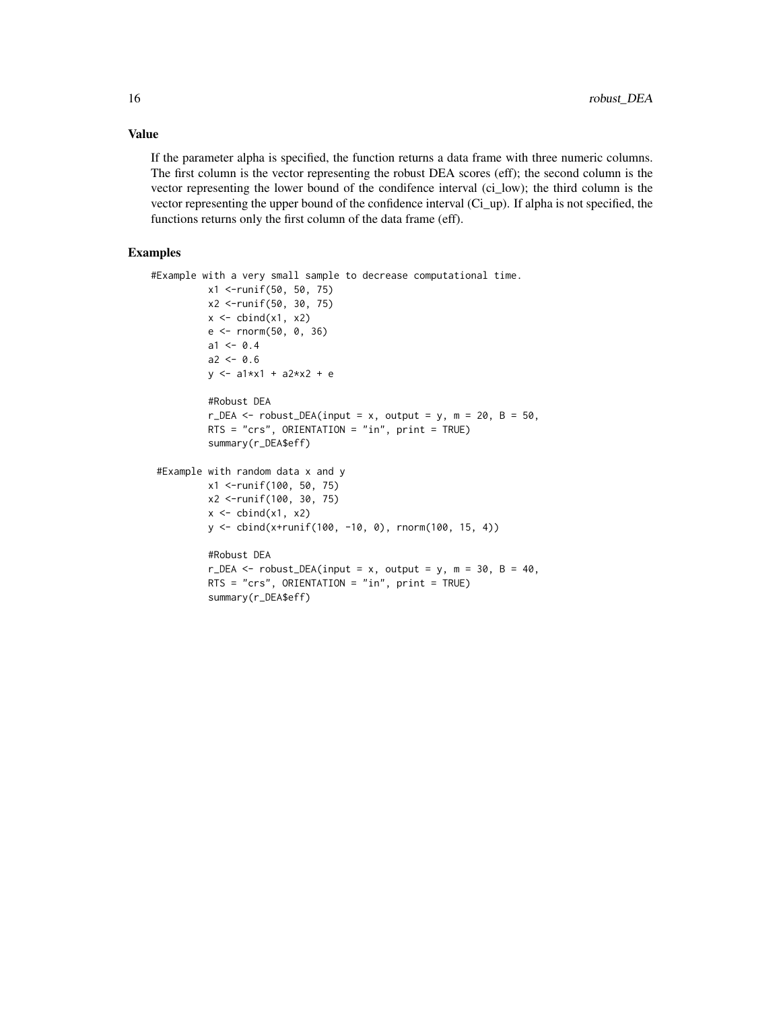If the parameter alpha is specified, the function returns a data frame with three numeric columns. The first column is the vector representing the robust DEA scores (eff); the second column is the vector representing the lower bound of the condifence interval (ci\_low); the third column is the vector representing the upper bound of the confidence interval (Ci\_up). If alpha is not specified, the functions returns only the first column of the data frame (eff).

### Examples

```
#Example with a very small sample to decrease computational time.
          x1 <-runif(50, 50, 75)
          x2 <-runif(50, 30, 75)
          x \leftarrow \text{cbind}(x1, x2)e <- rnorm(50, 0, 36)
          a1 < -0.4a2 < -0.6y \le -a1*x1 + a2*x2 + e#Robust DEA
          r_DEA <- robust_DEA(input = x, output = y, m = 20, B = 50,
          RTS = "crs", ORIENTATION = "in", print = TRUE)summary(r_DEA$eff)
 #Example with random data x and y
          x1 <-runif(100, 50, 75)
          x2 <-runif(100, 30, 75)
          x \leftarrow \text{cbind}(x1, x2)y <- cbind(x+runif(100, -10, 0), rnorm(100, 15, 4))
          #Robust DEA
          r_DEA \le robust_DEA(input = x, output = y, m = 30, B = 40,
          RTS = "crs", ORIENTATION = "in", print = TRUE)
          summary(r_DEA$eff)
```
# Value